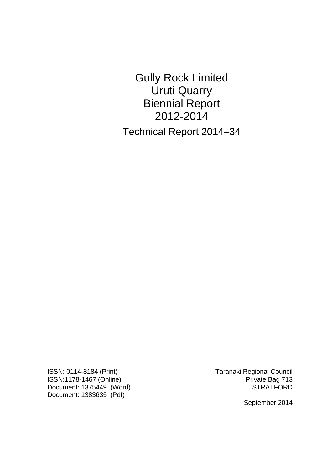Gully Rock Limited Uruti Quarry Biennial Report 2012-2014 Technical Report 2014–34

ISSN: 0114-8184 (Print) Taranaki Regional Council ISSN:1178-1467 (Online) **Private Bag 713** Document: 1375449 (Word) STRATFORD Document: 1383635 (Pdf)

September 2014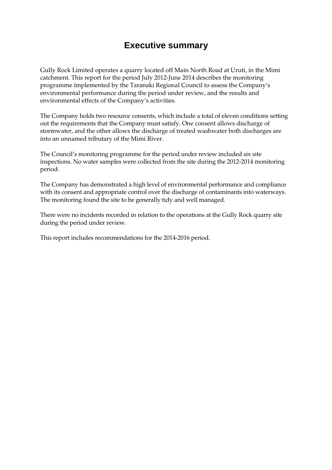## **Executive summary**

Gully Rock Limited operates a quarry located off Main North Road at Uruti, in the Mimi catchment. This report for the period July 2012-June 2014 describes the monitoring programme implemented by the Taranaki Regional Council to assess the Company's environmental performance during the period under review, and the results and environmental effects of the Company's activities.

The Company holds two resource consents, which include a total of eleven conditions setting out the requirements that the Company must satisfy. One consent allows discharge of stormwater, and the other allows the discharge of treated washwater both discharges are into an unnamed tributary of the Mimi River.

The Council's monitoring programme for the period under review included six site inspections. No water samples were collected from the site during the 2012-2014 monitoring period.

The Company has demonstrated a high level of environmental performance and compliance with its consent and appropriate control over the discharge of contaminants into waterways. The monitoring found the site to be generally tidy and well managed.

There were no incidents recorded in relation to the operations at the Gully Rock quarry site during the period under review.

This report includes recommendations for the 2014-2016 period.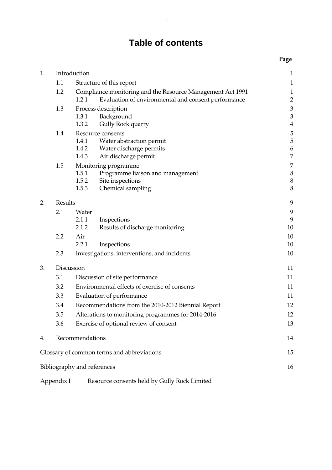# **Table of contents**

|    |                                 |                                                            |                                                     | Page             |
|----|---------------------------------|------------------------------------------------------------|-----------------------------------------------------|------------------|
| 1. |                                 | Introduction                                               |                                                     | $\mathbf{1}$     |
|    | 1.1<br>Structure of this report |                                                            | $\mathbf{1}$                                        |                  |
|    | 1.2                             | Compliance monitoring and the Resource Management Act 1991 |                                                     | $\mathbf{1}$     |
|    |                                 | 1.2.1                                                      | Evaluation of environmental and consent performance | $\overline{2}$   |
|    | 1.3                             |                                                            | Process description                                 | $\mathfrak{Z}$   |
|    |                                 | 1.3.1                                                      | Background                                          | $\mathfrak{Z}$   |
|    |                                 | 1.3.2                                                      | Gully Rock quarry                                   | $\overline{4}$   |
|    | 1.4                             |                                                            | Resource consents                                   | 5                |
|    |                                 | 1.4.1<br>1.4.2                                             | Water abstraction permit<br>Water discharge permits | 5<br>6           |
|    |                                 | 1.4.3                                                      | Air discharge permit                                | $\overline{7}$   |
|    | 1.5                             |                                                            | Monitoring programme                                | $\boldsymbol{7}$ |
|    |                                 | 1.5.1                                                      | Programme liaison and management                    | $\,8\,$          |
|    |                                 | 1.5.2                                                      | Site inspections                                    | $\boldsymbol{8}$ |
|    |                                 | 1.5.3                                                      | Chemical sampling                                   | 8                |
| 2. | Results                         |                                                            | 9                                                   |                  |
|    | 2.1                             | Water                                                      |                                                     | 9                |
|    |                                 | 2.1.1                                                      | Inspections                                         | 9                |
|    |                                 | 2.1.2                                                      | Results of discharge monitoring                     | 10               |
|    | 2.2                             | Air                                                        |                                                     | 10               |
|    |                                 | 2.2.1                                                      | Inspections                                         | 10               |
|    | 2.3                             |                                                            | Investigations, interventions, and incidents        | 10               |
| 3. |                                 | Discussion                                                 |                                                     | 11               |
|    | 3.1                             | Discussion of site performance                             |                                                     | 11               |
|    | 3.2                             | Environmental effects of exercise of consents              |                                                     | 11               |
|    | 3.3                             | Evaluation of performance                                  |                                                     | 11               |
|    | 3.4                             | Recommendations from the 2010-2012 Biennial Report         |                                                     | 12               |
|    | 3.5                             | Alterations to monitoring programmes for 2014-2016         |                                                     | 12               |
|    | 3.6                             |                                                            | Exercise of optional review of consent              | 13               |
| 4. | Recommendations                 |                                                            | 14                                                  |                  |
|    |                                 |                                                            | Glossary of common terms and abbreviations          | 15               |
|    |                                 | Bibliography and references                                |                                                     | 16               |
|    | Appendix I                      |                                                            | Resource consents held by Gully Rock Limited        |                  |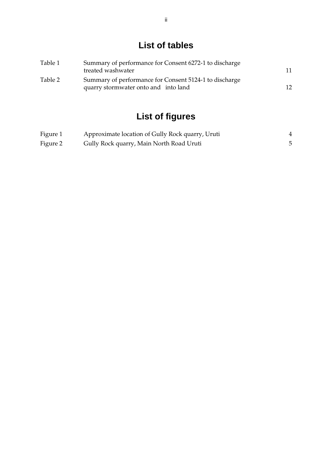# **List of tables**

| Table 1 | Summary of performance for Consent 6272-1 to discharge<br>treated washwater                    |    |
|---------|------------------------------------------------------------------------------------------------|----|
| Table 2 | Summary of performance for Consent 5124-1 to discharge<br>quarry stormwater onto and into land | 12 |

# **List of figures**

| Figure 1 | Approximate location of Gully Rock quarry, Uruti |  |
|----------|--------------------------------------------------|--|
| Figure 2 | Gully Rock quarry, Main North Road Uruti         |  |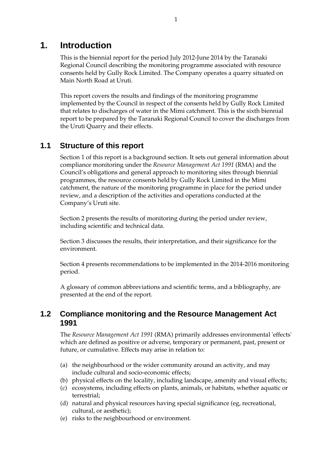## **1. Introduction**

This is the biennial report for the period July 2012-June 2014 by the Taranaki Regional Council describing the monitoring programme associated with resource consents held by Gully Rock Limited. The Company operates a quarry situated on Main North Road at Uruti.

This report covers the results and findings of the monitoring programme implemented by the Council in respect of the consents held by Gully Rock Limited that relates to discharges of water in the Mimi catchment. This is the sixth biennial report to be prepared by the Taranaki Regional Council to cover the discharges from the Uruti Quarry and their effects.

## **1.1 Structure of this report**

Section 1 of this report is a background section. It sets out general information about compliance monitoring under the *Resource Management Act 1991* (RMA) and the Council's obligations and general approach to monitoring sites through biennial programmes, the resource consents held by Gully Rock Limited in the Mimi catchment, the nature of the monitoring programme in place for the period under review, and a description of the activities and operations conducted at the Company's Uruti site.

Section 2 presents the results of monitoring during the period under review, including scientific and technical data.

Section 3 discusses the results, their interpretation, and their significance for the environment.

Section 4 presents recommendations to be implemented in the 2014-2016 monitoring period.

A glossary of common abbreviations and scientific terms, and a bibliography, are presented at the end of the report.

## **1.2 Compliance monitoring and the Resource Management Act 1991**

The *Resource Management Act 1991* (RMA) primarily addresses environmental 'effects' which are defined as positive or adverse, temporary or permanent, past, present or future, or cumulative. Effects may arise in relation to:

- (a) the neighbourhood or the wider community around an activity, and may include cultural and socio-economic effects;
- (b) physical effects on the locality, including landscape, amenity and visual effects;
- (c) ecosystems, including effects on plants, animals, or habitats, whether aquatic or terrestrial;
- (d) natural and physical resources having special significance (eg, recreational, cultural, or aesthetic);
- (e) risks to the neighbourhood or environment.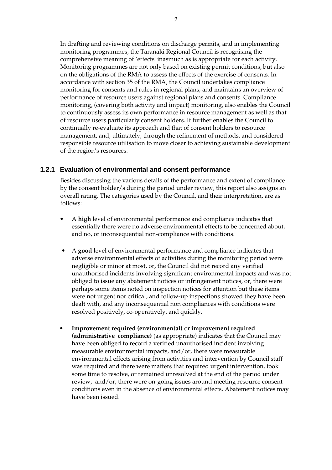In drafting and reviewing conditions on discharge permits, and in implementing monitoring programmes, the Taranaki Regional Council is recognising the comprehensive meaning of 'effects' inasmuch as is appropriate for each activity. Monitoring programmes are not only based on existing permit conditions, but also on the obligations of the RMA to assess the effects of the exercise of consents. In accordance with section 35 of the RMA, the Council undertakes compliance monitoring for consents and rules in regional plans; and maintains an overview of performance of resource users against regional plans and consents. Compliance monitoring, (covering both activity and impact) monitoring, also enables the Council to continuously assess its own performance in resource management as well as that of resource users particularly consent holders. It further enables the Council to continually re-evaluate its approach and that of consent holders to resource management, and, ultimately, through the refinement of methods, and considered responsible resource utilisation to move closer to achieving sustainable development of the region's resources.

#### **1.2.1 Evaluation of environmental and consent performance**

Besides discussing the various details of the performance and extent of compliance by the consent holder/s during the period under review, this report also assigns an overall rating. The categories used by the Council, and their interpretation, are as follows:

- A **high** level of environmental performance and compliance indicates that essentially there were no adverse environmental effects to be concerned about, and no, or inconsequential non-compliance with conditions.
- A **good** level of environmental performance and compliance indicates that adverse environmental effects of activities during the monitoring period were negligible or minor at most, or, the Council did not record any verified unauthorised incidents involving significant environmental impacts and was not obliged to issue any abatement notices or infringement notices, or, there were perhaps some items noted on inspection notices for attention but these items were not urgent nor critical, and follow-up inspections showed they have been dealt with, and any inconsequential non compliances with conditions were resolved positively, co-operatively, and quickly.
- **Improvement required (environmental)** or **improvement required (administrative compliance)** (as appropriate) indicates that the Council may have been obliged to record a verified unauthorised incident involving measurable environmental impacts, and/or, there were measurable environmental effects arising from activities and intervention by Council staff was required and there were matters that required urgent intervention, took some time to resolve, or remained unresolved at the end of the period under review, and/or, there were on-going issues around meeting resource consent conditions even in the absence of environmental effects. Abatement notices may have been issued.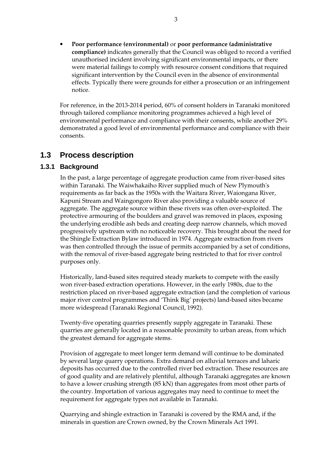• **Poor performance (environmental)** or **poor performance (administrative compliance)** indicates generally that the Council was obliged to record a verified unauthorised incident involving significant environmental impacts, or there were material failings to comply with resource consent conditions that required significant intervention by the Council even in the absence of environmental effects. Typically there were grounds for either a prosecution or an infringement notice.

For reference, in the 2013-2014 period, 60% of consent holders in Taranaki monitored through tailored compliance monitoring programmes achieved a high level of environmental performance and compliance with their consents, while another 29% demonstrated a good level of environmental performance and compliance with their consents.

## **1.3 Process description**

#### **1.3.1 Background**

In the past, a large percentage of aggregate production came from river-based sites within Taranaki. The Waiwhakaiho River supplied much of New Plymouth's requirements as far back as the 1950s with the Waitara River, Waiongana River, Kapuni Stream and Waingongoro River also providing a valuable source of aggregate. The aggregate source within these rivers was often over-exploited. The protective armouring of the boulders and gravel was removed in places, exposing the underlying erodible ash beds and creating deep narrow channels, which moved progressively upstream with no noticeable recovery. This brought about the need for the Shingle Extraction Bylaw introduced in 1974. Aggregate extraction from rivers was then controlled through the issue of permits accompanied by a set of conditions, with the removal of river-based aggregate being restricted to that for river control purposes only.

Historically, land-based sites required steady markets to compete with the easily won river-based extraction operations. However, in the early 1980s, due to the restriction placed on river-based aggregate extraction (and the completion of various major river control programmes and 'Think Big' projects) land-based sites became more widespread (Taranaki Regional Council, 1992).

Twenty-five operating quarries presently supply aggregate in Taranaki. These quarries are generally located in a reasonable proximity to urban areas, from which the greatest demand for aggregate stems.

Provision of aggregate to meet longer term demand will continue to be dominated by several large quarry operations. Extra demand on alluvial terraces and laharic deposits has occurred due to the controlled river bed extraction. These resources are of good quality and are relatively plentiful, although Taranaki aggregates are known to have a lower crushing strength (85 kN) than aggregates from most other parts of the country. Importation of various aggregates may need to continue to meet the requirement for aggregate types not available in Taranaki.

Quarrying and shingle extraction in Taranaki is covered by the RMA and, if the minerals in question are Crown owned, by the Crown Minerals Act 1991.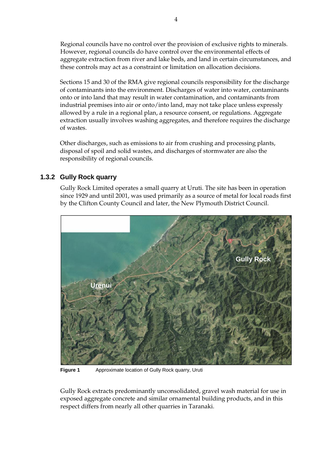Regional councils have no control over the provision of exclusive rights to minerals. However, regional councils do have control over the environmental effects of aggregate extraction from river and lake beds, and land in certain circumstances, and these controls may act as a constraint or limitation on allocation decisions.

Sections 15 and 30 of the RMA give regional councils responsibility for the discharge of contaminants into the environment. Discharges of water into water, contaminants onto or into land that may result in water contamination, and contaminants from industrial premises into air or onto/into land, may not take place unless expressly allowed by a rule in a regional plan, a resource consent, or regulations. Aggregate extraction usually involves washing aggregates, and therefore requires the discharge of wastes.

Other discharges, such as emissions to air from crushing and processing plants, disposal of spoil and solid wastes, and discharges of stormwater are also the responsibility of regional councils.

## **1.3.2 Gully Rock quarry**

Gully Rock Limited operates a small quarry at Uruti. The site has been in operation since 1929 and until 2001, was used primarily as a source of metal for local roads first by the Clifton County Council and later, the New Plymouth District Council.



**Figure 1** Approximate location of Gully Rock quarry, Uruti

Gully Rock extracts predominantly unconsolidated, gravel wash material for use in exposed aggregate concrete and similar ornamental building products, and in this respect differs from nearly all other quarries in Taranaki.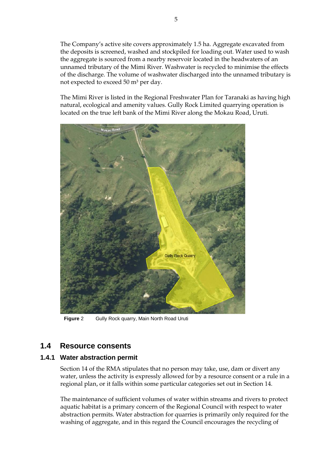The Company's active site covers approximately 1.5 ha. Aggregate excavated from the deposits is screened, washed and stockpiled for loading out. Water used to wash the aggregate is sourced from a nearby reservoir located in the headwaters of an unnamed tributary of the Mimi River. Washwater is recycled to minimise the effects of the discharge. The volume of washwater discharged into the unnamed tributary is not expected to exceed 50 m<sup>3</sup> per day.

The Mimi River is listed in the Regional Freshwater Plan for Taranaki as having high natural, ecological and amenity values. Gully Rock Limited quarrying operation is located on the true left bank of the Mimi River along the Mokau Road, Uruti.



**Figure** 2 Gully Rock quarry, Main North Road Uruti

## **1.4 Resource consents**

#### **1.4.1 Water abstraction permit**

Section 14 of the RMA stipulates that no person may take, use, dam or divert any water, unless the activity is expressly allowed for by a resource consent or a rule in a regional plan, or it falls within some particular categories set out in Section 14.

The maintenance of sufficient volumes of water within streams and rivers to protect aquatic habitat is a primary concern of the Regional Council with respect to water abstraction permits. Water abstraction for quarries is primarily only required for the washing of aggregate, and in this regard the Council encourages the recycling of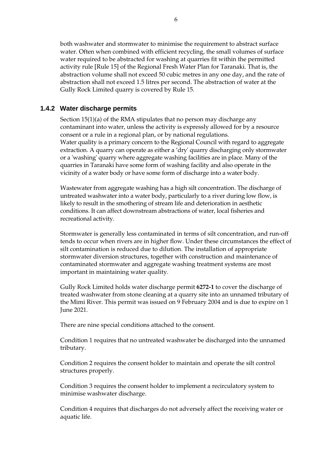both washwater and stormwater to minimise the requirement to abstract surface water. Often when combined with efficient recycling, the small volumes of surface water required to be abstracted for washing at quarries fit within the permitted activity rule [Rule 15] of the Regional Fresh Water Plan for Taranaki. That is, the abstraction volume shall not exceed 50 cubic metres in any one day, and the rate of abstraction shall not exceed 1.5 litres per second. The abstraction of water at the Gully Rock Limited quarry is covered by Rule 15.

#### **1.4.2 Water discharge permits**

Section 15(1)(a) of the RMA stipulates that no person may discharge any contaminant into water, unless the activity is expressly allowed for by a resource consent or a rule in a regional plan, or by national regulations. Water quality is a primary concern to the Regional Council with regard to aggregate extraction. A quarry can operate as either a 'dry' quarry discharging only stormwater or a 'washing' quarry where aggregate washing facilities are in place. Many of the quarries in Taranaki have some form of washing facility and also operate in the vicinity of a water body or have some form of discharge into a water body.

 Wastewater from aggregate washing has a high silt concentration. The discharge of untreated washwater into a water body, particularly to a river during low flow, is likely to result in the smothering of stream life and deterioration in aesthetic conditions. It can affect downstream abstractions of water, local fisheries and recreational activity.

Stormwater is generally less contaminated in terms of silt concentration, and run-off tends to occur when rivers are in higher flow. Under these circumstances the effect of silt contamination is reduced due to dilution. The installation of appropriate stormwater diversion structures, together with construction and maintenance of contaminated stormwater and aggregate washing treatment systems are most important in maintaining water quality.

Gully Rock Limited holds water discharge permit **6272-1** to cover the discharge of treated washwater from stone cleaning at a quarry site into an unnamed tributary of the Mimi River. This permit was issued on 9 February 2004 and is due to expire on 1 June 2021.

There are nine special conditions attached to the consent.

Condition 1 requires that no untreated washwater be discharged into the unnamed tributary.

Condition 2 requires the consent holder to maintain and operate the silt control structures properly.

Condition 3 requires the consent holder to implement a recirculatory system to minimise washwater discharge.

Condition 4 requires that discharges do not adversely affect the receiving water or aquatic life.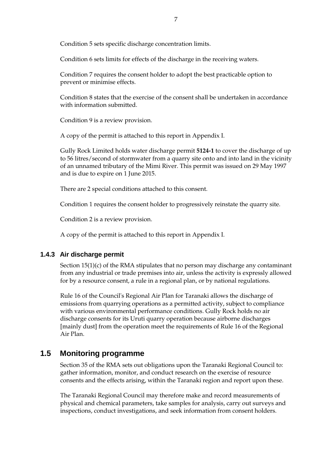Condition 5 sets specific discharge concentration limits.

Condition 6 sets limits for effects of the discharge in the receiving waters.

Condition 7 requires the consent holder to adopt the best practicable option to prevent or minimise effects.

Condition 8 states that the exercise of the consent shall be undertaken in accordance with information submitted.

Condition 9 is a review provision.

A copy of the permit is attached to this report in Appendix I.

Gully Rock Limited holds water discharge permit **5124-1** to cover the discharge of up to 56 litres/second of stormwater from a quarry site onto and into land in the vicinity of an unnamed tributary of the Mimi River. This permit was issued on 29 May 1997 and is due to expire on 1 June 2015.

There are 2 special conditions attached to this consent.

Condition 1 requires the consent holder to progressively reinstate the quarry site.

Condition 2 is a review provision.

A copy of the permit is attached to this report in Appendix I.

#### **1.4.3 Air discharge permit**

Section 15(1)(c) of the RMA stipulates that no person may discharge any contaminant from any industrial or trade premises into air, unless the activity is expressly allowed for by a resource consent, a rule in a regional plan, or by national regulations.

Rule 16 of the Council's Regional Air Plan for Taranaki allows the discharge of emissions from quarrying operations as a permitted activity, subject to compliance with various environmental performance conditions. Gully Rock holds no air discharge consents for its Uruti quarry operation because airborne discharges [mainly dust] from the operation meet the requirements of Rule 16 of the Regional Air Plan.

## **1.5 Monitoring programme**

Section 35 of the RMA sets out obligations upon the Taranaki Regional Council to: gather information, monitor, and conduct research on the exercise of resource consents and the effects arising, within the Taranaki region and report upon these.

The Taranaki Regional Council may therefore make and record measurements of physical and chemical parameters, take samples for analysis, carry out surveys and inspections, conduct investigations, and seek information from consent holders.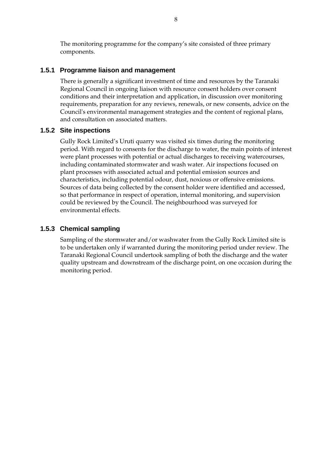The monitoring programme for the company's site consisted of three primary components.

#### **1.5.1 Programme liaison and management**

There is generally a significant investment of time and resources by the Taranaki Regional Council in ongoing liaison with resource consent holders over consent conditions and their interpretation and application, in discussion over monitoring requirements, preparation for any reviews, renewals, or new consents, advice on the Council's environmental management strategies and the content of regional plans, and consultation on associated matters.

#### **1.5.2 Site inspections**

Gully Rock Limited's Uruti quarry was visited six times during the monitoring period. With regard to consents for the discharge to water, the main points of interest were plant processes with potential or actual discharges to receiving watercourses, including contaminated stormwater and wash water. Air inspections focused on plant processes with associated actual and potential emission sources and characteristics, including potential odour, dust, noxious or offensive emissions. Sources of data being collected by the consent holder were identified and accessed, so that performance in respect of operation, internal monitoring, and supervision could be reviewed by the Council. The neighbourhood was surveyed for environmental effects.

#### **1.5.3 Chemical sampling**

Sampling of the stormwater and/or washwater from the Gully Rock Limited site is to be undertaken only if warranted during the monitoring period under review. The Taranaki Regional Council undertook sampling of both the discharge and the water quality upstream and downstream of the discharge point, on one occasion during the monitoring period.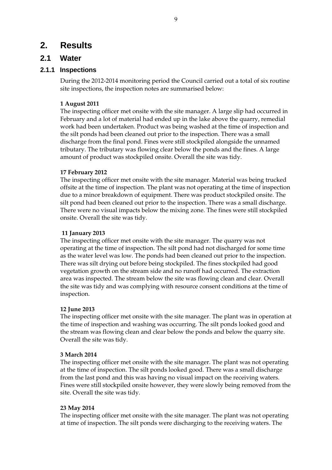## **2. Results**

## **2.1 Water**

### **2.1.1 Inspections**

During the 2012-2014 monitoring period the Council carried out a total of six routine site inspections, the inspection notes are summarised below:

#### **1 August 2011**

The inspecting officer met onsite with the site manager. A large slip had occurred in February and a lot of material had ended up in the lake above the quarry, remedial work had been undertaken. Product was being washed at the time of inspection and the silt ponds had been cleaned out prior to the inspection. There was a small discharge from the final pond. Fines were still stockpiled alongside the unnamed tributary. The tributary was flowing clear below the ponds and the fines. A large amount of product was stockpiled onsite. Overall the site was tidy.

#### **17 February 2012**

The inspecting officer met onsite with the site manager. Material was being trucked offsite at the time of inspection. The plant was not operating at the time of inspection due to a minor breakdown of equipment. There was product stockpiled onsite. The silt pond had been cleaned out prior to the inspection. There was a small discharge. There were no visual impacts below the mixing zone. The fines were still stockpiled onsite. Overall the site was tidy.

#### **11 January 2013**

The inspecting officer met onsite with the site manager. The quarry was not operating at the time of inspection. The silt pond had not discharged for some time as the water level was low. The ponds had been cleaned out prior to the inspection. There was silt drying out before being stockpiled. The fines stockpiled had good vegetation growth on the stream side and no runoff had occurred. The extraction area was inspected. The stream below the site was flowing clean and clear. Overall the site was tidy and was complying with resource consent conditions at the time of inspection.

#### **12 June 2013**

The inspecting officer met onsite with the site manager. The plant was in operation at the time of inspection and washing was occurring. The silt ponds looked good and the stream was flowing clean and clear below the ponds and below the quarry site. Overall the site was tidy.

#### **3 March 2014**

The inspecting officer met onsite with the site manager. The plant was not operating at the time of inspection. The silt ponds looked good. There was a small discharge from the last pond and this was having no visual impact on the receiving waters. Fines were still stockpiled onsite however, they were slowly being removed from the site. Overall the site was tidy.

#### **23 May 2014**

The inspecting officer met onsite with the site manager. The plant was not operating at time of inspection. The silt ponds were discharging to the receiving waters. The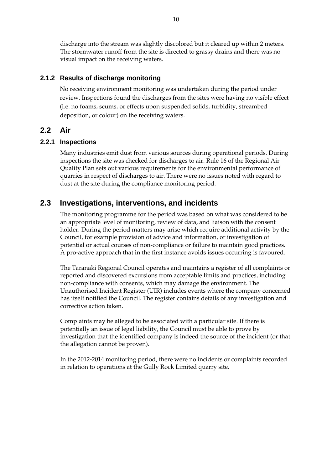discharge into the stream was slightly discolored but it cleared up within 2 meters. The stormwater runoff from the site is directed to grassy drains and there was no visual impact on the receiving waters.

#### **2.1.2 Results of discharge monitoring**

No receiving environment monitoring was undertaken during the period under review. Inspections found the discharges from the sites were having no visible effect (i.e. no foams, scums, or effects upon suspended solids, turbidity, streambed deposition, or colour) on the receiving waters.

### **2.2 Air**

#### **2.2.1 Inspections**

Many industries emit dust from various sources during operational periods. During inspections the site was checked for discharges to air. Rule 16 of the Regional Air Quality Plan sets out various requirements for the environmental performance of quarries in respect of discharges to air. There were no issues noted with regard to dust at the site during the compliance monitoring period.

## **2.3 Investigations, interventions, and incidents**

The monitoring programme for the period was based on what was considered to be an appropriate level of monitoring, review of data, and liaison with the consent holder. During the period matters may arise which require additional activity by the Council, for example provision of advice and information, or investigation of potential or actual courses of non-compliance or failure to maintain good practices. A pro-active approach that in the first instance avoids issues occurring is favoured.

The Taranaki Regional Council operates and maintains a register of all complaints or reported and discovered excursions from acceptable limits and practices, including non-compliance with consents, which may damage the environment. The Unauthorised Incident Register (UIR) includes events where the company concerned has itself notified the Council. The register contains details of any investigation and corrective action taken.

Complaints may be alleged to be associated with a particular site. If there is potentially an issue of legal liability, the Council must be able to prove by investigation that the identified company is indeed the source of the incident (or that the allegation cannot be proven).

In the 2012-2014 monitoring period, there were no incidents or complaints recorded in relation to operations at the Gully Rock Limited quarry site.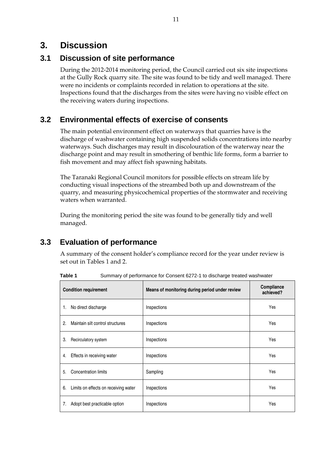## **3. Discussion**

## **3.1 Discussion of site performance**

During the 2012-2014 monitoring period, the Council carried out six site inspections at the Gully Rock quarry site. The site was found to be tidy and well managed. There were no incidents or complaints recorded in relation to operations at the site. Inspections found that the discharges from the sites were having no visible effect on the receiving waters during inspections.

## **3.2 Environmental effects of exercise of consents**

The main potential environment effect on waterways that quarries have is the discharge of washwater containing high suspended solids concentrations into nearby waterways. Such discharges may result in discolouration of the waterway near the discharge point and may result in smothering of benthic life forms, form a barrier to fish movement and may affect fish spawning habitats.

The Taranaki Regional Council monitors for possible effects on stream life by conducting visual inspections of the streambed both up and downstream of the quarry, and measuring physicochemical properties of the stormwater and receiving waters when warranted.

During the monitoring period the site was found to be generally tidy and well managed.

## **3.3 Evaluation of performance**

A summary of the consent holder's compliance record for the year under review is set out in Tables 1 and 2.

**Table 1** Summary of performance for Consent 6272-1 to discharge treated washwater

| <b>Condition requirement</b>               | Means of monitoring during period under review | Compliance<br>achieved? |
|--------------------------------------------|------------------------------------------------|-------------------------|
| No direct discharge<br>1.                  | Inspections                                    | Yes                     |
| Maintain silt control structures<br>2.     | Inspections                                    | Yes                     |
| 3.<br>Recirculatory system                 | Inspections                                    | Yes                     |
| Effects in receiving water<br>4.           | Inspections                                    | Yes                     |
| <b>Concentration limits</b><br>5.          | Sampling                                       | Yes                     |
| 6.<br>Limits on effects on receiving water | Inspections                                    | Yes                     |
| Adopt best practicable option<br>7.        | Inspections                                    | Yes                     |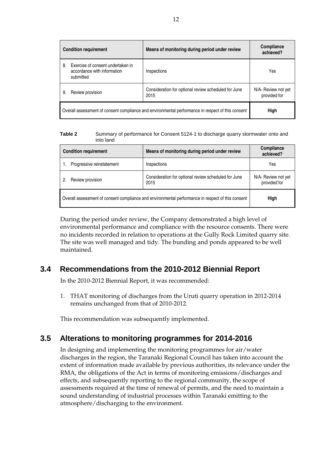| <b>Condition requirement</b>                                                                      |                                                                               | Means of monitoring during period under review               | Compliance<br>achieved?             |
|---------------------------------------------------------------------------------------------------|-------------------------------------------------------------------------------|--------------------------------------------------------------|-------------------------------------|
| 8.                                                                                                | Exercise of consent undertaken in<br>accordance with information<br>submitted | Inspections                                                  | Yes                                 |
| 9.                                                                                                | Review provision                                                              | Consideration for optional review scheduled for June<br>2015 | N/A- Review not yet<br>provided for |
| Overall assessment of consent compliance and environmental performance in respect of this consent |                                                                               |                                                              | High                                |

**Table 2** Summary of performance for Consent 5124-1 to discharge quarry stormwater onto and into land

| <b>Condition requirement</b>                                                                      | Means of monitoring during period under review               | Compliance<br>achieved?             |
|---------------------------------------------------------------------------------------------------|--------------------------------------------------------------|-------------------------------------|
| Progressive reinstatement                                                                         | Inspections                                                  | Yes                                 |
| Review provision<br>2.                                                                            | Consideration for optional review scheduled for June<br>2015 | N/A- Review not yet<br>provided for |
| Overall assessment of consent compliance and environmental performance in respect of this consent | <b>High</b>                                                  |                                     |

During the period under review, the Company demonstrated a high level of environmental performance and compliance with the resource consents. There were no incidents recorded in relation to operations at the Gully Rock Limited quarry site. The site was well managed and tidy. The bunding and ponds appeared to be well maintained.

## **3.4 Recommendations from the 2010-2012 Biennial Report**

In the 2010-2012 Biennial Report, it was recommended:

1. THAT monitoring of discharges from the Uruti quarry operation in 2012-2014 remains unchanged from that of 2010-2012.

This recommendation was subsequently implemented.

## **3.5 Alterations to monitoring programmes for 2014-2016**

In designing and implementing the monitoring programmes for air/water discharges in the region, the Taranaki Regional Council has taken into account the extent of information made available by previous authorities, its relevance under the RMA, the obligations of the Act in terms of monitoring emissions/discharges and effects, and subsequently reporting to the regional community, the scope of assessments required at the time of renewal of permits, and the need to maintain a sound understanding of industrial processes within Taranaki emitting to the atmosphere/discharging to the environment.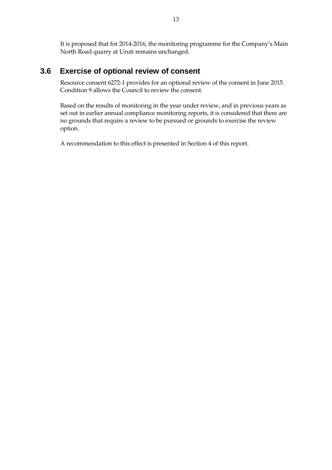It is proposed that for 2014-2016, the monitoring programme for the Company's Main North Road quarry at Uruti remains unchanged.

## **3.6 Exercise of optional review of consent**

Resource consent 6272-1 provides for an optional review of the consent in June 2015. Condition 9 allows the Council to review the consent.

Based on the results of monitoring in the year under review, and in previous years as set out in earlier annual compliance monitoring reports, it is considered that there are no grounds that require a review to be pursued or grounds to exercise the review option.

A recommendation to this effect is presented in Section 4 of this report.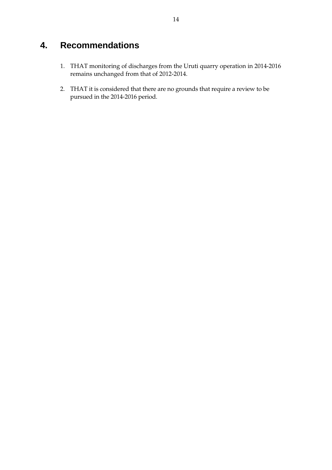# **4. Recommendations**

- 1. THAT monitoring of discharges from the Uruti quarry operation in 2014-2016 remains unchanged from that of 2012-2014.
- 2. THAT it is considered that there are no grounds that require a review to be pursued in the 2014-2016 period.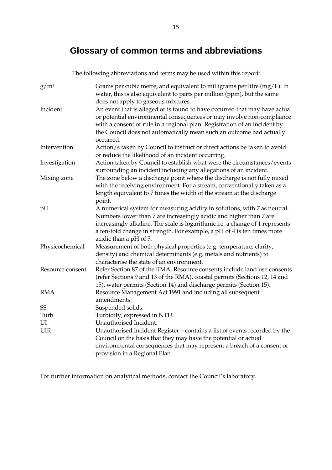# **Glossary of common terms and abbreviations**

The following abbreviations and terms may be used within this report:

| $g/m^3$          | Grams per cubic metre, and equivalent to milligrams per litre (mg/L). In<br>water, this is also equivalent to parts per million (ppm), but the same<br>does not apply to gaseous mixtures.                                                                                                                                            |
|------------------|---------------------------------------------------------------------------------------------------------------------------------------------------------------------------------------------------------------------------------------------------------------------------------------------------------------------------------------|
| Incident         | An event that is alleged or is found to have occurred that may have actual<br>or potential environmental consequences or may involve non-compliance<br>with a consent or rule in a regional plan. Registration of an incident by<br>the Council does not automatically mean such an outcome had actually<br>occurred.                 |
| Intervention     | Action/s taken by Council to instruct or direct actions be taken to avoid<br>or reduce the likelihood of an incident occurring.                                                                                                                                                                                                       |
| Investigation    | Action taken by Council to establish what were the circumstances/events<br>surrounding an incident including any allegations of an incident.                                                                                                                                                                                          |
| Mixing zone      | The zone below a discharge point where the discharge is not fully mixed<br>with the receiving environment. For a stream, conventionally taken as a<br>length equivalent to 7 times the width of the stream at the discharge<br>point.                                                                                                 |
| pH               | A numerical system for measuring acidity in solutions, with 7 as neutral.<br>Numbers lower than 7 are increasingly acidic and higher than 7 are<br>increasingly alkaline. The scale is logarithmic i.e. a change of 1 represents<br>a ten-fold change in strength. For example, a pH of 4 is ten times more<br>acidic than a pH of 5. |
| Physicochemical  | Measurement of both physical properties (e.g. temperature, clarity,<br>density) and chemical determinants (e.g. metals and nutrients) to<br>characterise the state of an environment.                                                                                                                                                 |
| Resource consent | Refer Section 87 of the RMA. Resource consents include land use consents<br>(refer Sections 9 and 13 of the RMA), coastal permits (Sections 12, 14 and<br>15), water permits (Section 14) and discharge permits (Section 15).                                                                                                         |
| <b>RMA</b>       | Resource Management Act 1991 and including all subsequent<br>amendments.                                                                                                                                                                                                                                                              |
| SS               | Suspended solids.                                                                                                                                                                                                                                                                                                                     |
| Turb             | Turbidity, expressed in NTU.                                                                                                                                                                                                                                                                                                          |
| UI               | Unauthorised Incident.                                                                                                                                                                                                                                                                                                                |
| UIR              | Unauthorised Incident Register – contains a list of events recorded by the                                                                                                                                                                                                                                                            |
|                  | Council on the basis that they may have the potential or actual                                                                                                                                                                                                                                                                       |
|                  | environmental consequences that may represent a breach of a consent or<br>provision in a Regional Plan.                                                                                                                                                                                                                               |

For further information on analytical methods, contact the Council's laboratory.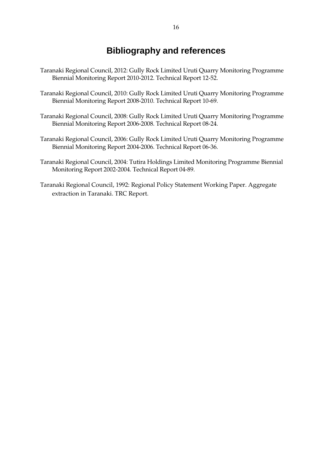## **Bibliography and references**

- Taranaki Regional Council, 2012: Gully Rock Limited Uruti Quarry Monitoring Programme Biennial Monitoring Report 2010-2012. Technical Report 12-52.
- Taranaki Regional Council, 2010: Gully Rock Limited Uruti Quarry Monitoring Programme Biennial Monitoring Report 2008-2010. Technical Report 10-69.
- Taranaki Regional Council, 2008: Gully Rock Limited Uruti Quarry Monitoring Programme Biennial Monitoring Report 2006-2008. Technical Report 08-24.
- Taranaki Regional Council, 2006: Gully Rock Limited Uruti Quarry Monitoring Programme Biennial Monitoring Report 2004-2006. Technical Report 06-36.
- Taranaki Regional Council, 2004: Tutira Holdings Limited Monitoring Programme Biennial Monitoring Report 2002-2004. Technical Report 04-89.
- Taranaki Regional Council, 1992: Regional Policy Statement Working Paper. Aggregate extraction in Taranaki. TRC Report.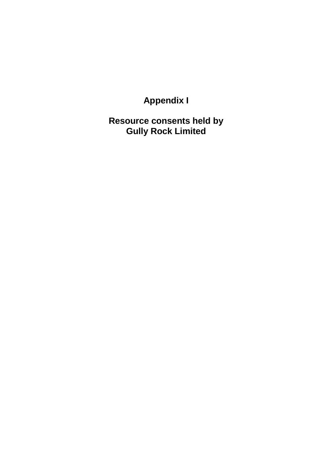**Appendix I** 

**Resource consents held by Gully Rock Limited**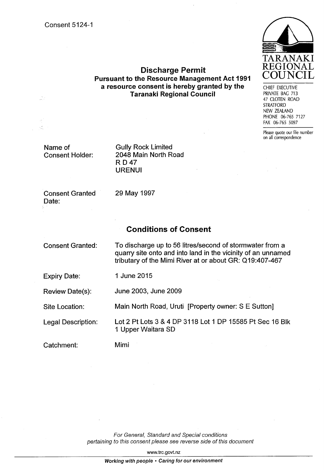

**Discharge Permit Pursuant to the Resource Management Act 1991** a resource consent is hereby granted by the **Taranaki Regional Council** 

CHIEF EXECUTIVE PRIVATE BAG 713 47 CLOTEN ROAD **STRATFORD** NEW ZEALAND PHONE 06-765 7127 FAX 06-765 5097

Please quote our file number on all correspondence

Name of **Consent Holder:** 

**Gully Rock Limited** 2048 Main North Road **RD47 URENUI** 

**Consent Granted** Date:

29 May 1997

### **Conditions of Consent**

**Consent Granted:** 

To discharge up to 56 litres/second of stormwater from a quarry site onto and into land in the vicinity of an unnamed tributary of the Mimi River at or about GR: Q19:407-467

**Expiry Date:** 1 June 2015

June 2003, June 2009 **Review Date(s):** 

Main North Road, Uruti [Property owner: S E Sutton] Site Location:

Lot 2 Pt Lots 3 & 4 DP 3118 Lot 1 DP 15585 Pt Sec 16 Blk Legal Description: 1 Upper Waitara SD

Catchment:

Mimi

For General, Standard and Special conditions pertaining to this consent please see reverse side of this document

www.trc.govt.nz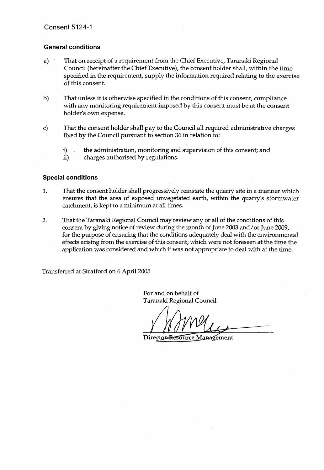#### **General conditions**

- $a)$ That on receipt of a requirement from the Chief Executive, Taranaki Regional Council (hereinafter the Chief Executive), the consent holder shall, within the time specified in the requirement, supply the information required relating to the exercise of this consent.
- b) That unless it is otherwise specified in the conditions of this consent, compliance with any monitoring requirement imposed by this consent must be at the consent holder's own expense.
- That the consent holder shall pay to the Council all required administrative charges  $\mathbf{c}$ fixed by the Council pursuant to section 36 in relation to:
	- $\mathbf{i}$ the administration, monitoring and supervision of this consent; and
	- charges authorised by regulations. ii)

#### **Special conditions**

- 1. That the consent holder shall progressively reinstate the quarry site in a manner which ensures that the area of exposed unvegetated earth, within the quarry's stormwater catchment, is kept to a minimum at all times.
- $2.$ That the Taranaki Regional Council may review any or all of the conditions of this consent by giving notice of review during the month of June 2003 and/or June 2009, for the purpose of ensuring that the conditions adequately deal with the environmental effects arising from the exercise of this consent, which were not foreseen at the time the application was considered and which it was not appropriate to deal with at the time.

Transferred at Stratford on 6 April 2005

For and on behalf of Taranaki Regional Council

Director-Resource Management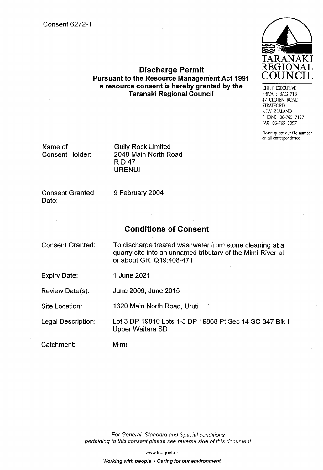**Consent 6272-1** 



CHIEF EXECUTIVE PRIVATE BAG 713 47 CLOTEN ROAD **STRATFORD** NEW ZEALAND PHONE 06-765 7127 FAX 06-765 5097

Please quote our file number on all correspondence

Name of **Consent Holder:**  **Gully Rock Limited** 2048 Main North Road **RD47 URENUI** 

**Consent Granted** Date:

9 February 2004

## **Conditions of Consent**

**Discharge Permit Pursuant to the Resource Management Act 1991** a resource consent is hereby granted by the

**Taranaki Regional Council** 

**Consent Granted:** 

To discharge treated washwater from stone cleaning at a quarry site into an unnamed tributary of the Mimi River at or about GR: Q19:408-471

**Expiry Date:** 1 June 2021

Review Date(s): June 2009, June 2015

Site Location: 1320 Main North Road, Uruti

Lot 3 DP 19810 Lots 1-3 DP 19868 Pt Sec 14 SO 347 Blk I **Legal Description: Upper Waitara SD** 

Catchment:

Mimi

For General, Standard and Special conditions pertaining to this consent please see reverse side of this document

www.trc.govt.nz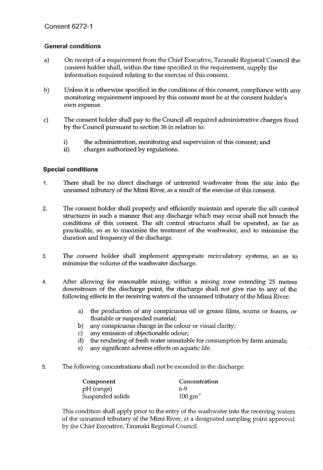#### **General conditions**

- On receipt of a requirement from the Chief Executive, Taranaki Regional Council the  $a)$ consent holder shall, within the time specified in the requirement, supply the information required relating to the exercise of this consent.
- $b)$ Unless it is otherwise specified in the conditions of this consent, compliance with any monitoring requirement imposed by this consent must be at the consent holder's own expense.
- The consent holder shall pay to the Council all required administrative charges fixed  $\mathbf{c}$ by the Council pursuant to section 36 in relation to:
	- i) the administration, monitoring and supervision of this consent; and
	- ii) charges authorised by regulations.

#### **Special conditions**

- There shall be no direct discharge of untreated washwater from the site into the 1. unnamed tributary of the Mimi River, as a result of the exercise of this consent.
- The consent holder shall properly and efficiently maintain and operate the silt control  $2.$ structures in such a manner that any discharge which may occur shall not breach the conditions of this consent. The silt control structures shall be operated, as far as practicable, so as to maximise the treatment of the washwater, and to minimise the duration and frequency of the discharge.
- The consent holder shall implement appropriate recirculatory systems, so as to 3. minimise the volume of the washwater discharge.
- 4. After allowing for reasonable mixing, within a mixing zone extending 25 metres downstream of the discharge point, the discharge shall not give rise to any of the following effects in the receiving waters of the unnamed tributary of the Mimi River:
	- the production of any conspicuous oil or grease films, scums or foams, or a) floatable or suspended material;
	- b) any conspicuous change in the colour or visual clarity;
	- $\mathbf{c}$ any emission of objectionable odour;
	- $\mathbf{d}$ the rendering of fresh water unsuitable for consumption by farm animals;
	- any significant adverse effects on aquatic life.  $e)$
- The following concentrations shall not be exceeded in the discharge: -5.

| Component        | Concentration      |  |
|------------------|--------------------|--|
| pH (range)       | 6-9                |  |
| Suspended solids | $100 \text{ gm}^3$ |  |

This condition shall apply prior to the entry of the washwater into the receiving waters of the unnamed tributary of the Mimi River, at a designated sampling point approved by the Chief Executive, Taranaki Regional Council.